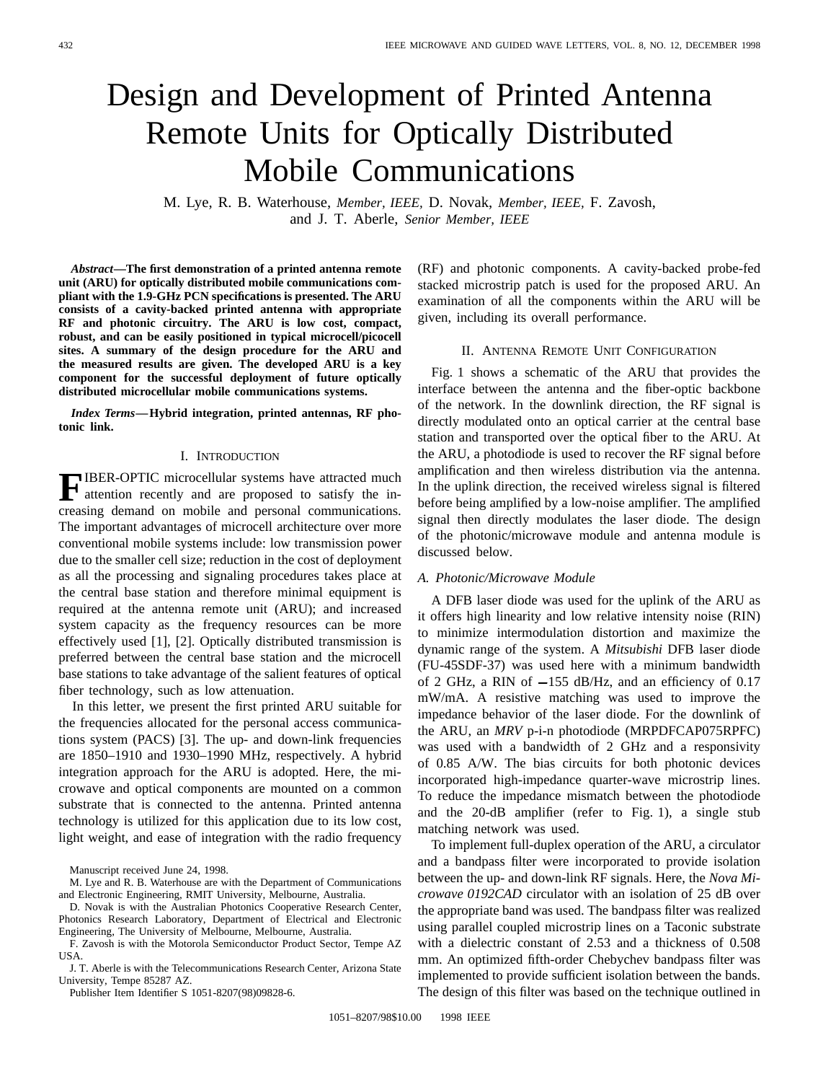# Design and Development of Printed Antenna Remote Units for Optically Distributed Mobile Communications

M. Lye, R. B. Waterhouse, *Member, IEEE,* D. Novak, *Member, IEEE,* F. Zavosh, and J. T. Aberle, *Senior Member, IEEE*

*Abstract—***The first demonstration of a printed antenna remote unit (ARU) for optically distributed mobile communications compliant with the 1.9-GHz PCN specifications is presented. The ARU consists of a cavity-backed printed antenna with appropriate RF and photonic circuitry. The ARU is low cost, compact, robust, and can be easily positioned in typical microcell/picocell sites. A summary of the design procedure for the ARU and the measured results are given. The developed ARU is a key component for the successful deployment of future optically distributed microcellular mobile communications systems.**

*Index Terms—***Hybrid integration, printed antennas, RF photonic link.**

### I. INTRODUCTION

**FIBER-OPTIC** microcellular systems have attracted much attention recently and are proposed to satisfy the increasing demand on mobile and personal communications. The important advantages of microcell architecture over more conventional mobile systems include: low transmission power due to the smaller cell size; reduction in the cost of deployment as all the processing and signaling procedures takes place at the central base station and therefore minimal equipment is required at the antenna remote unit (ARU); and increased system capacity as the frequency resources can be more effectively used [1], [2]. Optically distributed transmission is preferred between the central base station and the microcell base stations to take advantage of the salient features of optical fiber technology, such as low attenuation.

In this letter, we present the first printed ARU suitable for the frequencies allocated for the personal access communications system (PACS) [3]. The up- and down-link frequencies are 1850–1910 and 1930–1990 MHz, respectively. A hybrid integration approach for the ARU is adopted. Here, the microwave and optical components are mounted on a common substrate that is connected to the antenna. Printed antenna technology is utilized for this application due to its low cost, light weight, and ease of integration with the radio frequency

Manuscript received June 24, 1998.

J. T. Aberle is with the Telecommunications Research Center, Arizona State University, Tempe 85287 AZ.

Publisher Item Identifier S 1051-8207(98)09828-6.

(RF) and photonic components. A cavity-backed probe-fed stacked microstrip patch is used for the proposed ARU. An examination of all the components within the ARU will be given, including its overall performance.

# II. ANTENNA REMOTE UNIT CONFIGURATION

Fig. 1 shows a schematic of the ARU that provides the interface between the antenna and the fiber-optic backbone of the network. In the downlink direction, the RF signal is directly modulated onto an optical carrier at the central base station and transported over the optical fiber to the ARU. At the ARU, a photodiode is used to recover the RF signal before amplification and then wireless distribution via the antenna. In the uplink direction, the received wireless signal is filtered before being amplified by a low-noise amplifier. The amplified signal then directly modulates the laser diode. The design of the photonic/microwave module and antenna module is discussed below.

### *A. Photonic/Microwave Module*

A DFB laser diode was used for the uplink of the ARU as it offers high linearity and low relative intensity noise (RIN) to minimize intermodulation distortion and maximize the dynamic range of the system. A *Mitsubishi* DFB laser diode (FU-45SDF-37) was used here with a minimum bandwidth of 2 GHz, a RIN of  $-155$  dB/Hz, and an efficiency of 0.17 mW/mA. A resistive matching was used to improve the impedance behavior of the laser diode. For the downlink of the ARU, an *MRV* p-i-n photodiode (MRPDFCAP075RPFC) was used with a bandwidth of 2 GHz and a responsivity of 0.85 A/W. The bias circuits for both photonic devices incorporated high-impedance quarter-wave microstrip lines. To reduce the impedance mismatch between the photodiode and the 20-dB amplifier (refer to Fig. 1), a single stub matching network was used.

To implement full-duplex operation of the ARU, a circulator and a bandpass filter were incorporated to provide isolation between the up- and down-link RF signals. Here, the *Nova Microwave 0192CAD* circulator with an isolation of 25 dB over the appropriate band was used. The bandpass filter was realized using parallel coupled microstrip lines on a Taconic substrate with a dielectric constant of 2.53 and a thickness of 0.508 mm. An optimized fifth-order Chebychev bandpass filter was implemented to provide sufficient isolation between the bands. The design of this filter was based on the technique outlined in

M. Lye and R. B. Waterhouse are with the Department of Communications and Electronic Engineering, RMIT University, Melbourne, Australia.

D. Novak is with the Australian Photonics Cooperative Research Center, Photonics Research Laboratory, Department of Electrical and Electronic Engineering, The University of Melbourne, Melbourne, Australia.

F. Zavosh is with the Motorola Semiconductor Product Sector, Tempe AZ USA.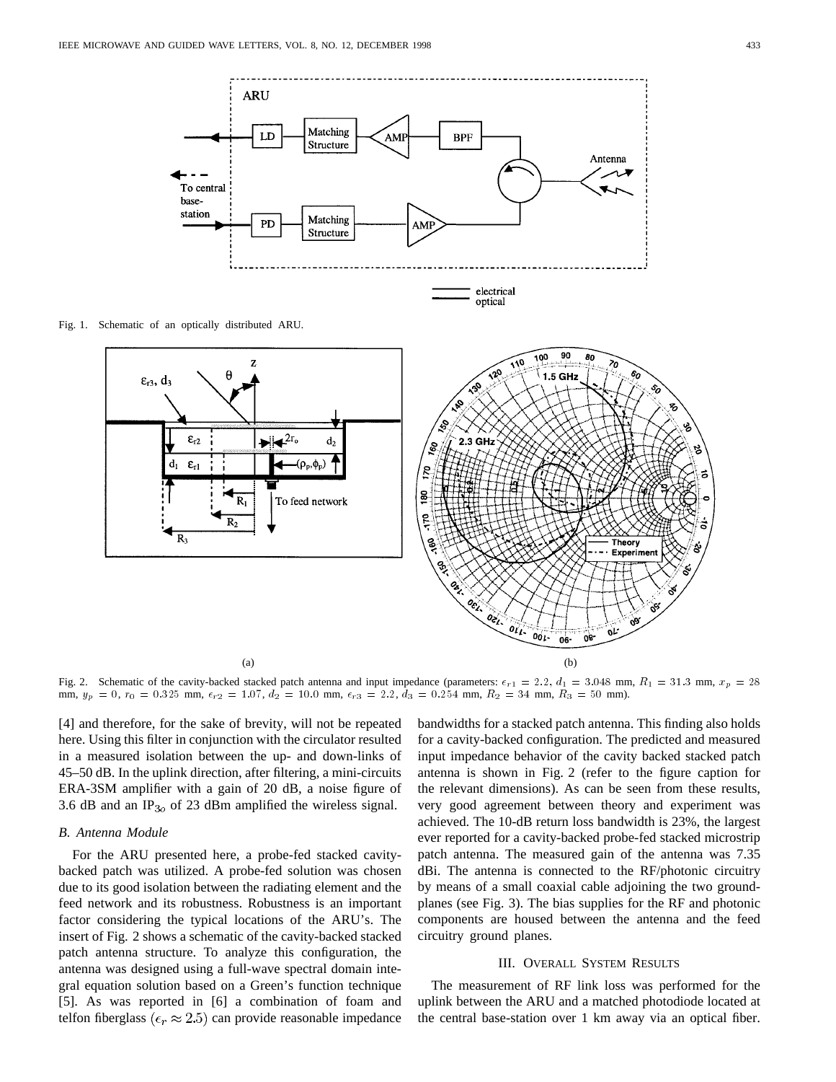

Fig. 1. Schematic of an optically distributed ARU.



Fig. 2. Schematic of the cavity-backed stacked patch antenna and input impedance (parameters:  $\epsilon_{r,1} = 2.2$ ,  $d_1 = 3.048$  mm,  $R_1 = 31.3$  mm,  $x_p = 28$ mm,  $y_p = 0$ ,  $r_0 = 0.325$  mm,  $\epsilon_{r2} = 1.07$ ,  $d_2 = 10.0$  mm,  $\epsilon_{r3} = 2.2$ ,  $d_3 = 0.254$  mm,  $R_2 = 34$  mm,  $R_3 = 50$  mm).

[4] and therefore, for the sake of brevity, will not be repeated here. Using this filter in conjunction with the circulator resulted in a measured isolation between the up- and down-links of 45–50 dB. In the uplink direction, after filtering, a mini-circuits ERA-3SM amplifier with a gain of 20 dB, a noise figure of 3.6 dB and an  $IP<sub>3o</sub>$  of 23 dBm amplified the wireless signal.

### *B. Antenna Module*

For the ARU presented here, a probe-fed stacked cavitybacked patch was utilized. A probe-fed solution was chosen due to its good isolation between the radiating element and the feed network and its robustness. Robustness is an important factor considering the typical locations of the ARU's. The insert of Fig. 2 shows a schematic of the cavity-backed stacked patch antenna structure. To analyze this configuration, the antenna was designed using a full-wave spectral domain integral equation solution based on a Green's function technique [5]. As was reported in [6] a combination of foam and telfon fiberglass ( $\epsilon_r \approx 2.5$ ) can provide reasonable impedance bandwidths for a stacked patch antenna. This finding also holds for a cavity-backed configuration. The predicted and measured input impedance behavior of the cavity backed stacked patch antenna is shown in Fig. 2 (refer to the figure caption for the relevant dimensions). As can be seen from these results, very good agreement between theory and experiment was achieved. The 10-dB return loss bandwidth is 23%, the largest ever reported for a cavity-backed probe-fed stacked microstrip patch antenna. The measured gain of the antenna was 7.35 dBi. The antenna is connected to the RF/photonic circuitry by means of a small coaxial cable adjoining the two groundplanes (see Fig. 3). The bias supplies for the RF and photonic components are housed between the antenna and the feed circuitry ground planes.

### III. OVERALL SYSTEM RESULTS

The measurement of RF link loss was performed for the uplink between the ARU and a matched photodiode located at the central base-station over 1 km away via an optical fiber.